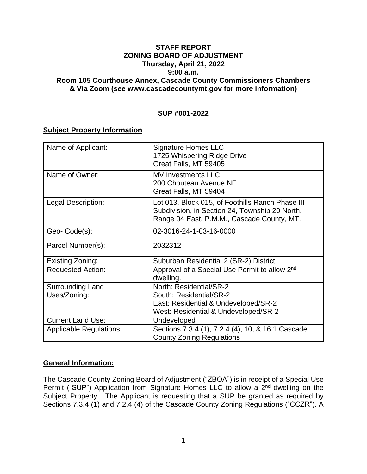### **STAFF REPORT ZONING BOARD OF ADJUSTMENT Thursday, April 21, 2022 9:00 a.m. Room 105 Courthouse Annex, Cascade County Commissioners Chambers & Via Zoom (see www.cascadecountymt.gov for more information)**

### **SUP #001-2022**

### **Subject Property Information**

| Name of Applicant:             | <b>Signature Homes LLC</b><br>1725 Whispering Ridge Drive<br>Great Falls, MT 59405                                                               |
|--------------------------------|--------------------------------------------------------------------------------------------------------------------------------------------------|
| Name of Owner:                 | <b>MV Investments LLC</b><br>200 Chouteau Avenue NE<br>Great Falls, MT 59404                                                                     |
| Legal Description:             | Lot 013, Block 015, of Foothills Ranch Phase III<br>Subdivision, in Section 24, Township 20 North,<br>Range 04 East, P.M.M., Cascade County, MT. |
| Geo-Code(s):                   | 02-3016-24-1-03-16-0000                                                                                                                          |
| Parcel Number(s):              | 2032312                                                                                                                                          |
| Existing Zoning:               | Suburban Residential 2 (SR-2) District                                                                                                           |
| <b>Requested Action:</b>       | Approval of a Special Use Permit to allow 2 <sup>nd</sup><br>dwelling.                                                                           |
| <b>Surrounding Land</b>        | North: Residential/SR-2                                                                                                                          |
| Uses/Zoning:                   | South: Residential/SR-2                                                                                                                          |
|                                | East: Residential & Undeveloped/SR-2                                                                                                             |
|                                | West: Residential & Undeveloped/SR-2                                                                                                             |
| <b>Current Land Use:</b>       | Undeveloped                                                                                                                                      |
| <b>Applicable Regulations:</b> | Sections 7.3.4 (1), 7.2.4 (4), 10, & 16.1 Cascade<br><b>County Zoning Regulations</b>                                                            |

# **General Information:**

The Cascade County Zoning Board of Adjustment ("ZBOA") is in receipt of a Special Use Permit ("SUP") Application from Signature Homes LLC to allow a 2<sup>nd</sup> dwelling on the Subject Property. The Applicant is requesting that a SUP be granted as required by Sections 7.3.4 (1) and 7.2.4 (4) of the Cascade County Zoning Regulations ("CCZR"). A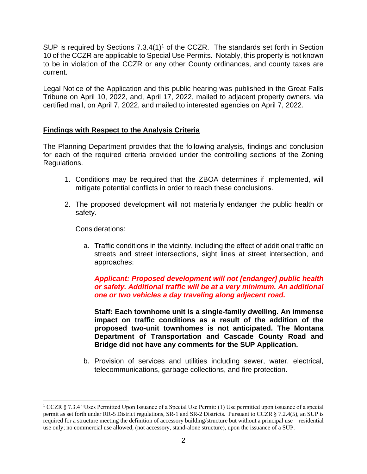SUP is required by Sections  $7.3.4(1)^1$  of the CCZR. The standards set forth in Section 10 of the CCZR are applicable to Special Use Permits. Notably, this property is not known to be in violation of the CCZR or any other County ordinances, and county taxes are current.

Legal Notice of the Application and this public hearing was published in the Great Falls Tribune on April 10, 2022, and, April 17, 2022, mailed to adjacent property owners, via certified mail, on April 7, 2022, and mailed to interested agencies on April 7, 2022.

# **Findings with Respect to the Analysis Criteria**

The Planning Department provides that the following analysis, findings and conclusion for each of the required criteria provided under the controlling sections of the Zoning Regulations.

- 1. Conditions may be required that the ZBOA determines if implemented, will mitigate potential conflicts in order to reach these conclusions.
- 2. The proposed development will not materially endanger the public health or safety.

Considerations:

a. Traffic conditions in the vicinity, including the effect of additional traffic on streets and street intersections, sight lines at street intersection, and approaches:

*Applicant: Proposed development will not [endanger] public health or safety. Additional traffic will be at a very minimum. An additional one or two vehicles a day traveling along adjacent road.*

**Staff: Each townhome unit is a single-family dwelling. An immense impact on traffic conditions as a result of the addition of the proposed two-unit townhomes is not anticipated. The Montana Department of Transportation and Cascade County Road and Bridge did not have any comments for the SUP Application.**

b. Provision of services and utilities including sewer, water, electrical, telecommunications, garbage collections, and fire protection.

<sup>1</sup> CCZR § 7.3.4 "Uses Permitted Upon Issuance of a Special Use Permit: (1) Use permitted upon issuance of a special permit as set forth under RR-5 District regulations, SR-1 and SR-2 Districts. Pursuant to CCZR § 7.2.4(5), an SUP is required for a structure meeting the definition of accessory building/structure but without a principal use – residential use only; no commercial use allowed, (not accessory, stand-alone structure), upon the issuance of a SUP.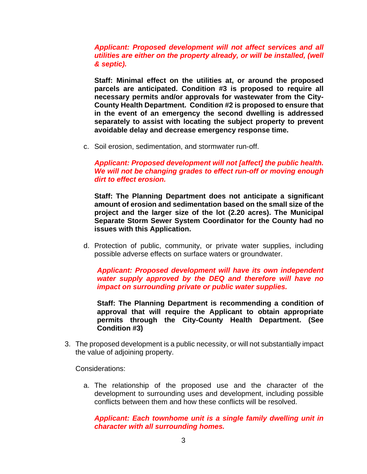### *Applicant: Proposed development will not affect services and all utilities are either on the property already, or will be installed, (well & septic).*

**Staff: Minimal effect on the utilities at, or around the proposed parcels are anticipated. Condition #3 is proposed to require all necessary permits and/or approvals for wastewater from the City-County Health Department. Condition #2 is proposed to ensure that in the event of an emergency the second dwelling is addressed separately to assist with locating the subject property to prevent avoidable delay and decrease emergency response time.**

c. Soil erosion, sedimentation, and stormwater run-off.

#### *Applicant: Proposed development will not [affect] the public health. We will not be changing grades to effect run-off or moving enough dirt to effect erosion.*

**Staff: The Planning Department does not anticipate a significant amount of erosion and sedimentation based on the small size of the project and the larger size of the lot (2.20 acres). The Municipal Separate Storm Sewer System Coordinator for the County had no issues with this Application.** 

d. Protection of public, community, or private water supplies, including possible adverse effects on surface waters or groundwater.

*Applicant: Proposed development will have its own independent water supply approved by the DEQ and therefore will have no impact on surrounding private or public water supplies.* 

**Staff: The Planning Department is recommending a condition of approval that will require the Applicant to obtain appropriate permits through the City-County Health Department. (See Condition #3)**

3. The proposed development is a public necessity, or will not substantially impact the value of adjoining property.

Considerations:

a. The relationship of the proposed use and the character of the development to surrounding uses and development, including possible conflicts between them and how these conflicts will be resolved.

*Applicant: Each townhome unit is a single family dwelling unit in character with all surrounding homes.*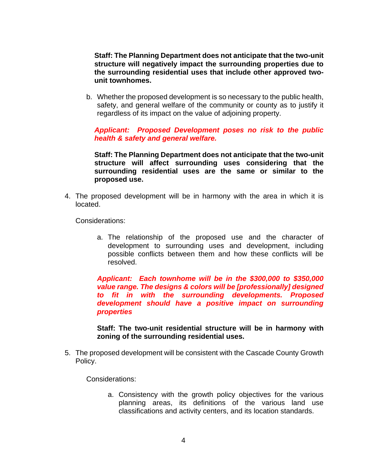**Staff: The Planning Department does not anticipate that the two-unit structure will negatively impact the surrounding properties due to the surrounding residential uses that include other approved twounit townhomes.**

b. Whether the proposed development is so necessary to the public health, safety, and general welfare of the community or county as to justify it regardless of its impact on the value of adjoining property.

*Applicant: Proposed Development poses no risk to the public health & safety and general welfare.*

**Staff: The Planning Department does not anticipate that the two-unit structure will affect surrounding uses considering that the surrounding residential uses are the same or similar to the proposed use.**

4. The proposed development will be in harmony with the area in which it is located.

Considerations:

a. The relationship of the proposed use and the character of development to surrounding uses and development, including possible conflicts between them and how these conflicts will be resolved.

*Applicant: Each townhome will be in the \$300,000 to \$350,000 value range. The designs & colors will be [professionally] designed to fit in with the surrounding developments. Proposed development should have a positive impact on surrounding properties*

**Staff: The two-unit residential structure will be in harmony with zoning of the surrounding residential uses.**

5. The proposed development will be consistent with the Cascade County Growth Policy.

Considerations:

a. Consistency with the growth policy objectives for the various planning areas, its definitions of the various land use classifications and activity centers, and its location standards.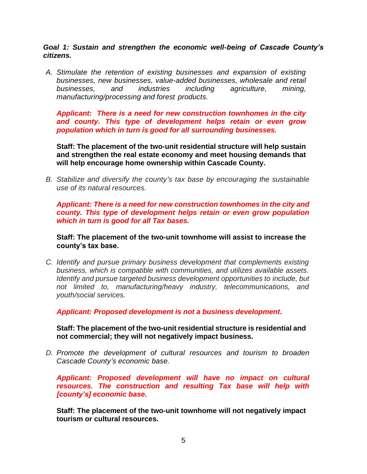*Goal 1: Sustain and strengthen the economic well-being of Cascade County's citizens.*

*A. Stimulate the retention of existing businesses and expansion of existing businesses, new businesses, value-added businesses, wholesale and retail businesses, and industries including agriculture, mining, manufacturing/processing and forest products.*

*Applicant: There is a need for new construction townhomes in the city and county. This type of development helps retain or even grow population which in turn is good for all surrounding businesses.* 

**Staff: The placement of the two-unit residential structure will help sustain and strengthen the real estate economy and meet housing demands that will help encourage home ownership within Cascade County.**

*B. Stabilize and diversify the county's tax base by encouraging the sustainable use of its natural resources.*

*Applicant: There is a need for new construction townhomes in the city and county. This type of development helps retain or even grow population which in turn is good for all Tax bases.*

**Staff: The placement of the two-unit townhome will assist to increase the county's tax base.** 

*C. Identify and pursue primary business development that complements existing business, which is compatible with communities, and utilizes available assets. Identify and pursue targeted business development opportunities to include, but not limited to, manufacturing/heavy industry, telecommunications, and youth/social services.*

*Applicant: Proposed development is not a business development.*

**Staff: The placement of the two-unit residential structure is residential and not commercial; they will not negatively impact business.** 

*D. Promote the development of cultural resources and tourism to broaden Cascade County's economic base.*

*Applicant: Proposed development will have no impact on cultural resources. The construction and resulting Tax base will help with [county's] economic base.*

**Staff: The placement of the two-unit townhome will not negatively impact tourism or cultural resources.**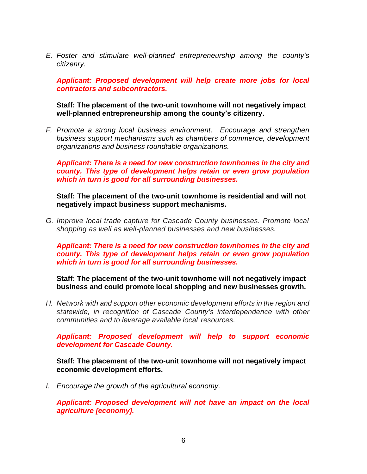*E. Foster and stimulate well-planned entrepreneurship among the county's citizenry.*

*Applicant: Proposed development will help create more jobs for local contractors and subcontractors.* 

#### **Staff: The placement of the two-unit townhome will not negatively impact well-planned entrepreneurship among the county's citizenry.**

*F. Promote a strong local business environment. Encourage and strengthen business support mechanisms such as chambers of commerce, development organizations and business roundtable organizations.*

*Applicant: There is a need for new construction townhomes in the city and county. This type of development helps retain or even grow population which in turn is good for all surrounding businesses.* 

**Staff: The placement of the two-unit townhome is residential and will not negatively impact business support mechanisms.**

*G. Improve local trade capture for Cascade County businesses. Promote local shopping as well as well-planned businesses and new businesses.*

*Applicant: There is a need for new construction townhomes in the city and county. This type of development helps retain or even grow population which in turn is good for all surrounding businesses.* 

**Staff: The placement of the two-unit townhome will not negatively impact business and could promote local shopping and new businesses growth.**

*H. Network with and support other economic development efforts in the region and statewide, in recognition of Cascade County's interdependence with other communities and to leverage available local resources.*

*Applicant: Proposed development will help to support economic development for Cascade County.*

**Staff: The placement of the two-unit townhome will not negatively impact economic development efforts.** 

*I. Encourage the growth of the agricultural economy.*

*Applicant: Proposed development will not have an impact on the local agriculture [economy].*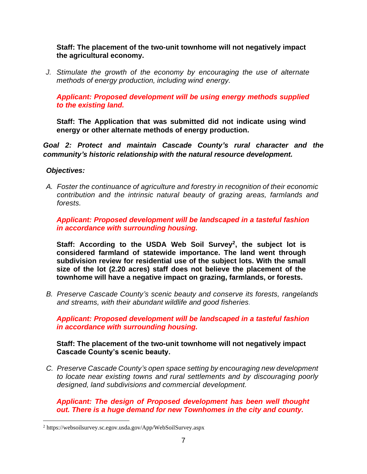# **Staff: The placement of the two-unit townhome will not negatively impact the agricultural economy.**

*J. Stimulate the growth of the economy by encouraging the use of alternate methods of energy production, including wind energy.*

*Applicant: Proposed development will be using energy methods supplied to the existing land.*

**Staff: The Application that was submitted did not indicate using wind energy or other alternate methods of energy production.** 

*Goal 2: Protect and maintain Cascade County's rural character and the community's historic relationship with the natural resource development.*

# *Objectives:*

*A. Foster the continuance of agriculture and forestry in recognition of their economic contribution and the intrinsic natural beauty of grazing areas, farmlands and forests.*

*Applicant: Proposed development will be landscaped in a tasteful fashion in accordance with surrounding housing.*

**Staff: According to the USDA Web Soil Survey<sup>2</sup> , the subject lot is considered farmland of statewide importance. The land went through subdivision review for residential use of the subject lots. With the small size of the lot (2.20 acres) staff does not believe the placement of the townhome will have a negative impact on grazing, farmlands, or forests.** 

*B. Preserve Cascade County's scenic beauty and conserve its forests, rangelands and streams, with their abundant wildlife and good fisheries.*

*Applicant: Proposed development will be landscaped in a tasteful fashion in accordance with surrounding housing.*

# **Staff: The placement of the two-unit townhome will not negatively impact Cascade County's scenic beauty.**

*C. Preserve Cascade County's open space setting by encouraging new development to locate near existing towns and rural settlements and by discouraging poorly designed, land subdivisions and commercial development.*

*Applicant: The design of Proposed development has been well thought out. There is a huge demand for new Townhomes in the city and county.*

<sup>2</sup> https://websoilsurvey.sc.egov.usda.gov/App/WebSoilSurvey.aspx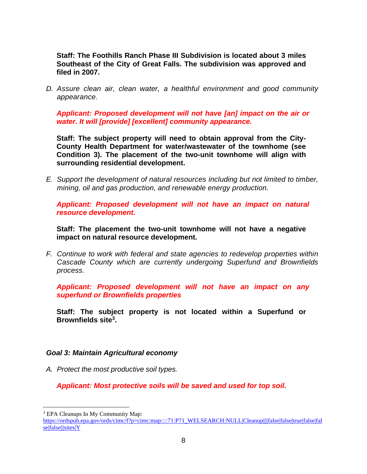**Staff: The Foothills Ranch Phase III Subdivision is located about 3 miles Southeast of the City of Great Falls. The subdivision was approved and filed in 2007.**

*D. Assure clean air, clean water, a healthful environment and good community appearance.*

*Applicant: Proposed development will not have [an] impact on the air or water. It will [provide] [excellent] community appearance.* 

**Staff: The subject property will need to obtain approval from the City-County Health Department for water/wastewater of the townhome (see Condition 3). The placement of the two-unit townhome will align with surrounding residential development.**

*E. Support the development of natural resources including but not limited to timber, mining, oil and gas production, and renewable energy production.*

*Applicant: Proposed development will not have an impact on natural resource development.* 

**Staff: The placement the two-unit townhome will not have a negative impact on natural resource development.** 

*F. Continue to work with federal and state agencies to redevelop properties within Cascade County which are currently undergoing Superfund and Brownfields process.*

*Applicant: Proposed development will not have an impact on any superfund or Brownfields properties*

**Staff: The subject property is not located within a Superfund or Brownfields site<sup>3</sup> .** 

#### *Goal 3: Maintain Agricultural economy*

*A. Protect the most productive soil types.*

*Applicant: Most protective soils will be saved and used for top soil.* 

<sup>&</sup>lt;sup>3</sup> EPA Cleanups In My Community Map:

[https://ordspub.epa.gov/ords/cimc/f?p=cimc:map::::71:P71\\_WELSEARCH:NULL|Cleanup||||false|false|true|false|fal](https://ordspub.epa.gov/ords/cimc/f?p=cimc:map::::71:P71_WELSEARCH:NULL|Cleanup||||false|false|true|false|false|false|||sites|Y) [se|false|||sites|Y](https://ordspub.epa.gov/ords/cimc/f?p=cimc:map::::71:P71_WELSEARCH:NULL|Cleanup||||false|false|true|false|false|false|||sites|Y)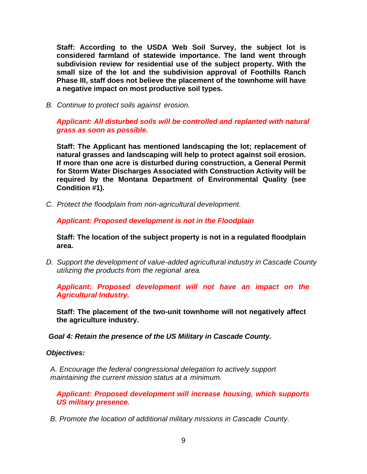**Staff: According to the USDA Web Soil Survey, the subject lot is considered farmland of statewide importance. The land went through subdivision review for residential use of the subject property. With the small size of the lot and the subdivision approval of Foothills Ranch Phase III, staff does not believe the placement of the townhome will have a negative impact on most productive soil types.** 

*B. Continue to protect soils against erosion.*

*Applicant: All disturbed soils will be controlled and replanted with natural grass as soon as possible.*

**Staff: The Applicant has mentioned landscaping the lot; replacement of natural grasses and landscaping will help to protect against soil erosion. If more than one acre is disturbed during construction, a General Permit for Storm Water Discharges Associated with Construction Activity will be required by the Montana Department of Environmental Quality (see Condition #1).**

*C. Protect the floodplain from non-agricultural development.*

*Applicant: Proposed development is not in the Floodplain* 

**Staff: The location of the subject property is not in a regulated floodplain area.**

*D. Support the development of value-added agricultural industry in Cascade County utilizing the products from the regional area.*

*Applicant: Proposed development will not have an impact on the Agricultural Industry.*

**Staff: The placement of the two-unit townhome will not negatively affect the agriculture industry.** 

*Goal 4: Retain the presence of the US Military in Cascade County.* 

#### *Objectives:*

*A. Encourage the federal congressional delegation to actively support maintaining the current mission status at a minimum.*

*Applicant: Proposed development will increase housing, which supports US military presence.*

*B. Promote the location of additional military missions in Cascade County.*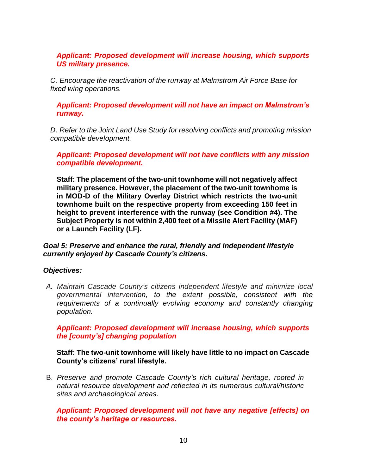# *Applicant: Proposed development will increase housing, which supports US military presence.*

*C. Encourage the reactivation of the runway at Malmstrom Air Force Base for fixed wing operations.*

*Applicant: Proposed development will not have an impact on Malmstrom's runway.*

*D. Refer to the Joint Land Use Study for resolving conflicts and promoting mission compatible development.*

*Applicant: Proposed development will not have conflicts with any mission compatible development.* 

**Staff: The placement of the two-unit townhome will not negatively affect military presence. However, the placement of the two-unit townhome is in MOD-D of the Military Overlay District which restricts the two-unit townhome built on the respective property from exceeding 150 feet in height to prevent interference with the runway (see Condition #4). The Subject Property is not within 2,400 feet of a Missile Alert Facility (MAF) or a Launch Facility (LF).** 

*Goal 5: Preserve and enhance the rural, friendly and independent lifestyle currently enjoyed by Cascade County's citizens.*

# *Objectives:*

*A. Maintain Cascade County's citizens independent lifestyle and minimize local governmental intervention, to the extent possible, consistent with the requirements of a continually evolving economy and constantly changing population.*

*Applicant: Proposed development will increase housing, which supports the [county's] changing population* 

**Staff: The two-unit townhome will likely have little to no impact on Cascade County's citizens' rural lifestyle.**

B. *Preserve and promote Cascade County's rich cultural heritage, rooted in natural resource development and reflected in its numerous cultural/historic sites and archaeological areas*.

*Applicant: Proposed development will not have any negative [effects] on the county's heritage or resources.*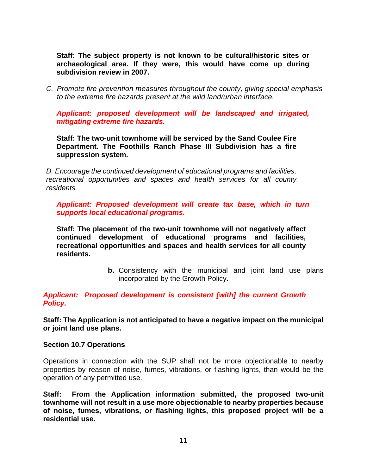**Staff: The subject property is not known to be cultural/historic sites or archaeological area. If they were, this would have come up during subdivision review in 2007.** 

*C. Promote fire prevention measures throughout the county, giving special emphasis to the extreme fire hazards present at the wild land/urban interface.*

*Applicant: proposed development will be landscaped and irrigated, mitigating extreme fire hazards.* 

**Staff: The two-unit townhome will be serviced by the Sand Coulee Fire Department. The Foothills Ranch Phase III Subdivision has a fire suppression system.**

*D. Encourage the continued development of educational programs and facilities, recreational opportunities and spaces and health services for all county residents.*

*Applicant: Proposed development will create tax base, which in turn supports local educational programs.* 

**Staff: The placement of the two-unit townhome will not negatively affect continued development of educational programs and facilities, recreational opportunities and spaces and health services for all county residents.**

> **b.** Consistency with the municipal and joint land use plans incorporated by the Growth Policy.

*Applicant: Proposed development is consistent [with] the current Growth Policy.*

**Staff: The Application is not anticipated to have a negative impact on the municipal or joint land use plans.**

#### **Section 10.7 Operations**

Operations in connection with the SUP shall not be more objectionable to nearby properties by reason of noise, fumes, vibrations, or flashing lights, than would be the operation of any permitted use.

**Staff: From the Application information submitted, the proposed two-unit townhome will not result in a use more objectionable to nearby properties because of noise, fumes, vibrations, or flashing lights, this proposed project will be a residential use.**